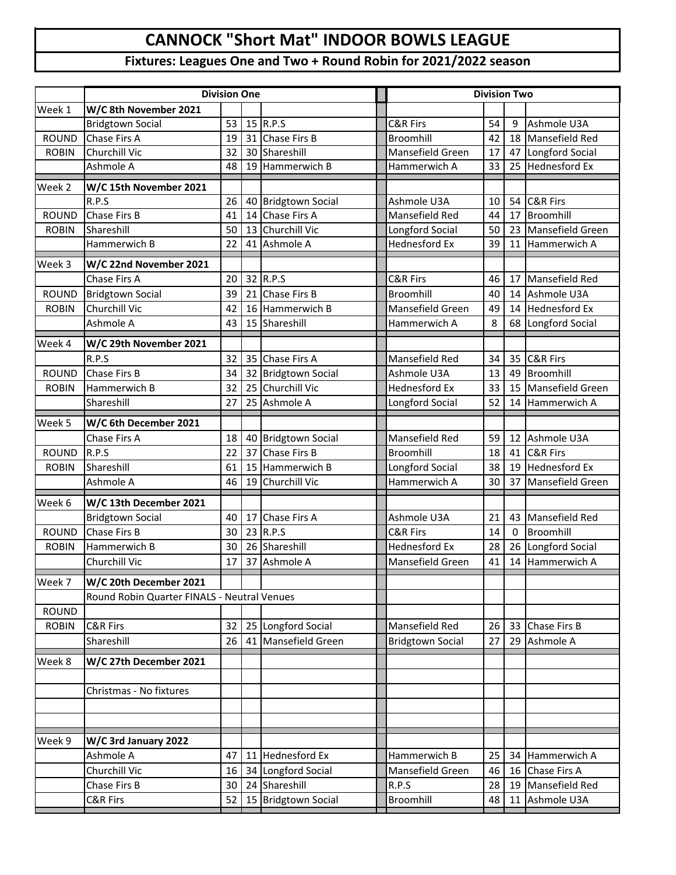## **CANNOCK "Short Mat" INDOOR BOWLS LEAGUE**

## **Fixtures: Leagues One and Two + Round Robin for 2021/2022 season**

|              | <b>Division One</b>                         |    |    |                         |  | <b>Division Two</b>     |    |          |                      |
|--------------|---------------------------------------------|----|----|-------------------------|--|-------------------------|----|----------|----------------------|
| Week 1       | W/C 8th November 2021                       |    |    |                         |  |                         |    |          |                      |
|              | <b>Bridgtown Social</b>                     | 53 | 15 | R.P.S                   |  | <b>C&amp;R Firs</b>     | 54 | 9        | Ashmole U3A          |
| <b>ROUND</b> | Chase Firs A                                | 19 | 31 | Chase Firs B            |  | Broomhill               | 42 | 18       | Mansefield Red       |
| <b>ROBIN</b> | <b>Churchill Vic</b>                        | 32 |    | 30 Shareshill           |  | Mansefield Green        | 17 | 47       | Longford Social      |
|              | Ashmole A                                   | 48 | 19 | Hammerwich B            |  | Hammerwich A            | 33 | 25       | <b>Hednesford Ex</b> |
| Week 2       | W/C 15th November 2021                      |    |    |                         |  |                         |    |          |                      |
|              | R.P.S                                       | 26 | 40 | <b>Bridgtown Social</b> |  | Ashmole U3A             | 10 | 54       | C&R Firs             |
| <b>ROUND</b> | Chase Firs B                                | 41 | 14 | Chase Firs A            |  | Mansefield Red          | 44 | 17       | Broomhill            |
| <b>ROBIN</b> | Shareshill                                  | 50 | 13 | Churchill Vic           |  | Longford Social         | 50 | 23       | Mansefield Green     |
|              | Hammerwich B                                | 22 | 41 | Ashmole A               |  | <b>Hednesford Ex</b>    | 39 | 11       | Hammerwich A         |
| Week 3       | W/C 22nd November 2021                      |    |    |                         |  |                         |    |          |                      |
|              | Chase Firs A                                | 20 |    | 32 R.P.S                |  | <b>C&amp;R Firs</b>     | 46 | 17       | Mansefield Red       |
| <b>ROUND</b> | <b>Bridgtown Social</b>                     | 39 | 21 | Chase Firs B            |  | Broomhill               | 40 | 14       | Ashmole U3A          |
| <b>ROBIN</b> | Churchill Vic                               | 42 | 16 | Hammerwich B            |  | Mansefield Green        | 49 | 14       | <b>Hednesford Ex</b> |
|              | Ashmole A                                   | 43 | 15 | Shareshill              |  | Hammerwich A            | 8  | 68       | Longford Social      |
| Week 4       | W/C 29th November 2021                      |    |    |                         |  |                         |    |          |                      |
|              | R.P.S                                       | 32 |    | 35 Chase Firs A         |  | Mansefield Red          | 34 | 35       | <b>C&amp;R Firs</b>  |
| <b>ROUND</b> | Chase Firs B                                | 34 | 32 | <b>Bridgtown Social</b> |  | Ashmole U3A             | 13 | 49       | Broomhill            |
| <b>ROBIN</b> | Hammerwich B                                | 32 | 25 | Churchill Vic           |  | <b>Hednesford Ex</b>    | 33 | 15       | Mansefield Green     |
|              | Shareshill                                  | 27 | 25 | Ashmole A               |  | Longford Social         | 52 | 14       | Hammerwich A         |
| Week 5       | W/C 6th December 2021                       |    |    |                         |  |                         |    |          |                      |
|              | Chase Firs A                                | 18 |    | 40 Bridgtown Social     |  | Mansefield Red          | 59 | 12       | Ashmole U3A          |
| <b>ROUND</b> | R.P.S                                       | 22 | 37 | Chase Firs B            |  | Broomhill               | 18 | 41       | <b>C&amp;R Firs</b>  |
| <b>ROBIN</b> | Shareshill                                  | 61 | 15 | Hammerwich B            |  | Longford Social         | 38 | 19       | <b>Hednesford Ex</b> |
|              | Ashmole A                                   | 46 | 19 | Churchill Vic           |  | Hammerwich A            | 30 | 37       | Mansefield Green     |
| Week 6       | W/C 13th December 2021                      |    |    |                         |  |                         |    |          |                      |
|              | <b>Bridgtown Social</b>                     | 40 | 17 | Chase Firs A            |  | Ashmole U3A             | 21 | 43       | Mansefield Red       |
| <b>ROUND</b> | Chase Firs B                                | 30 |    | 23 R.P.S                |  | C&R Firs                | 14 | $\Omega$ | Broomhill            |
| <b>ROBIN</b> | Hammerwich B                                | 30 |    | 26 Shareshill           |  | <b>Hednesford Ex</b>    | 28 | 26       | Longford Social      |
|              | Churchill Vic                               | 17 | 37 | Ashmole A               |  | Mansefield Green        | 41 | 14       | Hammerwich A         |
| Week 7       | W/C 20th December 2021                      |    |    |                         |  |                         |    |          |                      |
|              | Round Robin Quarter FINALS - Neutral Venues |    |    |                         |  |                         |    |          |                      |
| <b>ROUND</b> |                                             |    |    |                         |  |                         |    |          |                      |
| <b>ROBIN</b> | C&R Firs                                    | 32 |    | 25 Longford Social      |  | Mansefield Red          | 26 | 33       | Chase Firs B         |
|              | Shareshill                                  | 26 | 41 | Mansefield Green        |  | <b>Bridgtown Social</b> | 27 | 29       | Ashmole A            |
| Week 8       | W/C 27th December 2021                      |    |    |                         |  |                         |    |          |                      |
|              |                                             |    |    |                         |  |                         |    |          |                      |
|              | Christmas - No fixtures                     |    |    |                         |  |                         |    |          |                      |
|              |                                             |    |    |                         |  |                         |    |          |                      |
|              |                                             |    |    |                         |  |                         |    |          |                      |
| Week 9       | W/C 3rd January 2022                        |    |    |                         |  |                         |    |          |                      |
|              | Ashmole A                                   | 47 | 11 | Hednesford Ex           |  | Hammerwich B            | 25 | 34       | Hammerwich A         |
|              | Churchill Vic                               | 16 | 34 | Longford Social         |  | Mansefield Green        | 46 | 16       | Chase Firs A         |
|              | Chase Firs B                                | 30 | 24 | Shareshill              |  | R.P.S                   | 28 | 19       | Mansefield Red       |
|              | C&R Firs                                    | 52 | 15 | <b>Bridgtown Social</b> |  | Broomhill               | 48 | 11       | Ashmole U3A          |
|              |                                             |    |    |                         |  |                         |    |          |                      |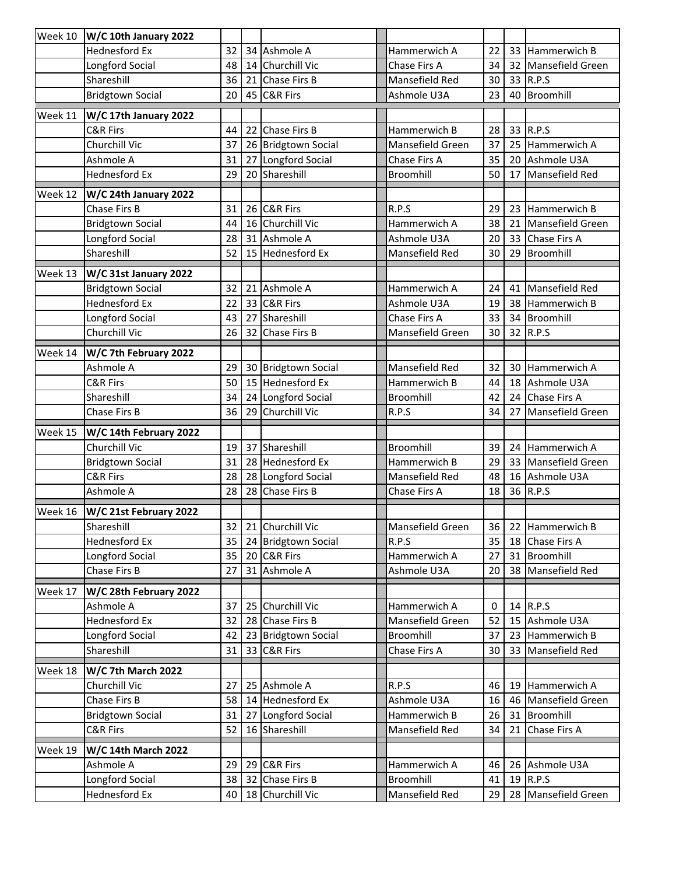| Week 10 | W/C 10th January 2022               |          |    |                                        |                             |          |          |                                  |
|---------|-------------------------------------|----------|----|----------------------------------------|-----------------------------|----------|----------|----------------------------------|
|         | <b>Hednesford Ex</b>                | 32       |    | 34 Ashmole A                           | Hammerwich A                | 22       | 33       | Hammerwich B                     |
|         | Longford Social                     | 48       |    | 14 Churchill Vic                       | Chase Firs A                | 34       | 32       | Mansefield Green                 |
|         | Shareshill                          | 36       |    | 21 Chase Firs B                        | Mansefield Red              | 30       | 33       | R.P.S                            |
|         | <b>Bridgtown Social</b>             | 20       |    | 45 C&R Firs                            | Ashmole U3A                 | 23       | 40       | Broomhill                        |
| Week 11 | W/C 17th January 2022               |          |    |                                        |                             |          |          |                                  |
|         | C&R Firs                            | 44       | 22 | Chase Firs B                           | Hammerwich B                | 28       | 33       | R.P.S                            |
|         | Churchill Vic                       | 37       |    | 26 Bridgtown Social                    | Mansefield Green            | 37       | 25       | Hammerwich A                     |
|         | Ashmole A                           | 31       | 27 | Longford Social                        | Chase Firs A                | 35       | 20       | Ashmole U3A                      |
|         | <b>Hednesford Ex</b>                | 29       |    | 20 Shareshill                          | Broomhill                   | 50       | 17       | <b>Mansefield Red</b>            |
| Week 12 | W/C 24th January 2022               |          |    |                                        |                             |          |          |                                  |
|         | Chase Firs B                        | 31       |    | 26 C&R Firs                            | R.P.S                       | 29       | 23       | Hammerwich B                     |
|         | <b>Bridgtown Social</b>             | 44       |    | 16 Churchill Vic                       | Hammerwich A                | 38       | 21       | Mansefield Green                 |
|         | Longford Social                     | 28       |    | 31 Ashmole A                           | Ashmole U3A                 | 20       | 33       | Chase Firs A                     |
|         | Shareshill                          | 52       |    | 15 Hednesford Ex                       | Mansefield Red              | 30       | 29       | Broomhill                        |
| Week 13 | W/C 31st January 2022               |          |    |                                        |                             |          |          |                                  |
|         | <b>Bridgtown Social</b>             | 32       | 21 | Ashmole A                              | Hammerwich A                | 24       | 41       | Mansefield Red                   |
|         | <b>Hednesford Ex</b>                | 22       |    | 33 C&R Firs                            | Ashmole U3A                 | 19       | 38       | Hammerwich B                     |
|         | Longford Social                     | 43       | 27 | Shareshill                             | Chase Firs A                | 33       | 34       | Broomhill                        |
|         | Churchill Vic                       | 26       | 32 | Chase Firs B                           | Mansefield Green            | 30       | 32       | R.P.S                            |
|         |                                     |          |    |                                        |                             |          |          |                                  |
| Week 14 | W/C 7th February 2022               |          |    |                                        |                             |          |          |                                  |
|         | Ashmole A                           | 29<br>50 |    | 30 Bridgtown Social                    | Mansefield Red              | 32       | 30       | Hammerwich A                     |
|         | C&R Firs                            |          |    | 15 Hednesford Ex                       | Hammerwich B                | 44       | 18       | Ashmole U3A                      |
|         | Shareshill<br>Chase Firs B          | 34<br>36 |    | 24 Longford Social<br>29 Churchill Vic | Broomhill<br>R.P.S          | 42<br>34 | 24<br>27 | Chase Firs A<br>Mansefield Green |
|         |                                     |          |    |                                        |                             |          |          |                                  |
| Week 15 | W/C 14th February 2022              |          |    |                                        |                             |          |          |                                  |
|         | Churchill Vic                       | 19       | 37 | Shareshill                             | Broomhill                   | 39       | 24       | Hammerwich A                     |
|         | <b>Bridgtown Social</b>             | 31       |    | 28 Hednesford Ex                       | Hammerwich B                | 29       | 33       | Mansefield Green                 |
|         | C&R Firs                            | 28       |    | 28 Longford Social                     | Mansefield Red              | 48       | 16       | Ashmole U3A                      |
|         | Ashmole A                           | 28       |    | 28 Chase Firs B                        | Chase Firs A                | 18       | 36       | R.P.S                            |
| Week 16 | W/C 21st February 2022              |          |    |                                        |                             |          |          |                                  |
|         | Shareshill                          |          |    | 32 21 Churchill Vic                    | Mansefield Green            |          |          | 36 22 Hammerwich B               |
|         | <b>Hednesford Ex</b>                | 35       |    | 24 Bridgtown Social                    | R.P.S                       | 35       |          | 18 Chase Firs A                  |
|         | Longford Social                     | 35       |    | 20 C&R Firs                            | Hammerwich A                | 27       | 31       | Broomhill                        |
|         | Chase Firs B                        | 27       |    |                                        | Ashmole U3A                 | 20       | 38       | Mansefield Red                   |
| Week 17 |                                     |          |    | 31 Ashmole A                           |                             |          |          |                                  |
|         | W/C 28th February 2022              |          |    |                                        |                             |          |          |                                  |
|         | Ashmole A                           | 37       |    | 25 Churchill Vic                       | Hammerwich A                | 0        |          | 14 R.P.S                         |
|         | <b>Hednesford Ex</b>                | 32       |    | 28 Chase Firs B                        | Mansefield Green            | 52       | 15       | Ashmole U3A                      |
|         | Longford Social                     | 42       |    | 23 Bridgtown Social                    | Broomhill                   | 37       | 23       | Hammerwich B                     |
|         | Shareshill                          | 31       |    | 33 C&R Firs                            | Chase Firs A                | 30       | 33       | Mansefield Red                   |
|         |                                     |          |    |                                        |                             |          |          |                                  |
| Week 18 | W/C 7th March 2022<br>Churchill Vic | 27       |    | 25 Ashmole A                           | R.P.S                       | 46       | 19       | Hammerwich A                     |
|         | Chase Firs B                        | 58       |    | 14 Hednesford Ex                       | Ashmole U3A                 | 16       | 46       | Mansefield Green                 |
|         | <b>Bridgtown Social</b>             | 31       | 27 | Longford Social                        | Hammerwich B                | 26       | 31       | Broomhill                        |
|         | <b>C&amp;R Firs</b>                 | 52       |    | 16 Shareshill                          | Mansefield Red              | 34       | 21       | Chase Firs A                     |
|         |                                     |          |    |                                        |                             |          |          |                                  |
| Week 19 | <b>W/C 14th March 2022</b>          |          |    |                                        |                             |          |          |                                  |
|         | Ashmole A                           | 29       |    | 29 C&R Firs                            | Hammerwich A                | 46       |          | 26 Ashmole U3A                   |
|         | Longford Social<br>Hednesford Ex    | 38<br>40 | 32 | Chase Firs B<br>18 Churchill Vic       | Broomhill<br>Mansefield Red | 41<br>29 | 28       | 19 R.P.S<br>Mansefield Green     |